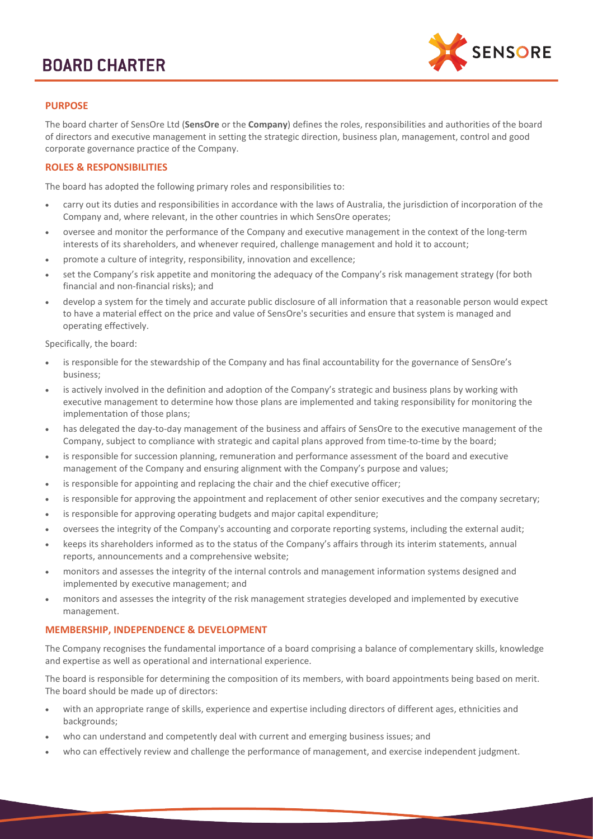# **BOARD CHARTER**



# **PURPOSE**

The board charter of SensOre Ltd (**SensOre** or the **Company**) defines the roles, responsibilities and authorities of the board of directors and executive management in setting the strategic direction, business plan, management, control and good corporate governance practice of the Company.

# **ROLES & RESPONSIBILITIES**

The board has adopted the following primary roles and responsibilities to:

- carry out its duties and responsibilities in accordance with the laws of Australia, the jurisdiction of incorporation of the Company and, where relevant, in the other countries in which SensOre operates;
- oversee and monitor the performance of the Company and executive management in the context of the long-term interests of its shareholders, and whenever required, challenge management and hold it to account;
- promote a culture of integrity, responsibility, innovation and excellence;
- set the Company's risk appetite and monitoring the adequacy of the Company's risk management strategy (for both financial and non-financial risks); and
- develop a system for the timely and accurate public disclosure of all information that a reasonable person would expect to have a material effect on the price and value of SensOre's securities and ensure that system is managed and operating effectively.

Specifically, the board:

- is responsible for the stewardship of the Company and has final accountability for the governance of SensOre's business;
- is actively involved in the definition and adoption of the Company's strategic and business plans by working with executive management to determine how those plans are implemented and taking responsibility for monitoring the implementation of those plans;
- has delegated the day-to-day management of the business and affairs of SensOre to the executive management of the Company, subject to compliance with strategic and capital plans approved from time-to-time by the board;
- is responsible for succession planning, remuneration and performance assessment of the board and executive management of the Company and ensuring alignment with the Company's purpose and values;
- is responsible for appointing and replacing the chair and the chief executive officer;
- is responsible for approving the appointment and replacement of other senior executives and the company secretary;
- is responsible for approving operating budgets and major capital expenditure;
- oversees the integrity of the Company's accounting and corporate reporting systems, including the external audit;
- keeps its shareholders informed as to the status of the Company's affairs through its interim statements, annual reports, announcements and a comprehensive website;
- monitors and assesses the integrity of the internal controls and management information systems designed and implemented by executive management; and
- monitors and assesses the integrity of the risk management strategies developed and implemented by executive management.

### **MEMBERSHIP, INDEPENDENCE & DEVELOPMENT**

The Company recognises the fundamental importance of a board comprising a balance of complementary skills, knowledge and expertise as well as operational and international experience.

The board is responsible for determining the composition of its members, with board appointments being based on merit. The board should be made up of directors:

- with an appropriate range of skills, experience and expertise including directors of different ages, ethnicities and backgrounds;
- who can understand and competently deal with current and emerging business issues; and
- who can effectively review and challenge the performance of management, and exercise independent judgment.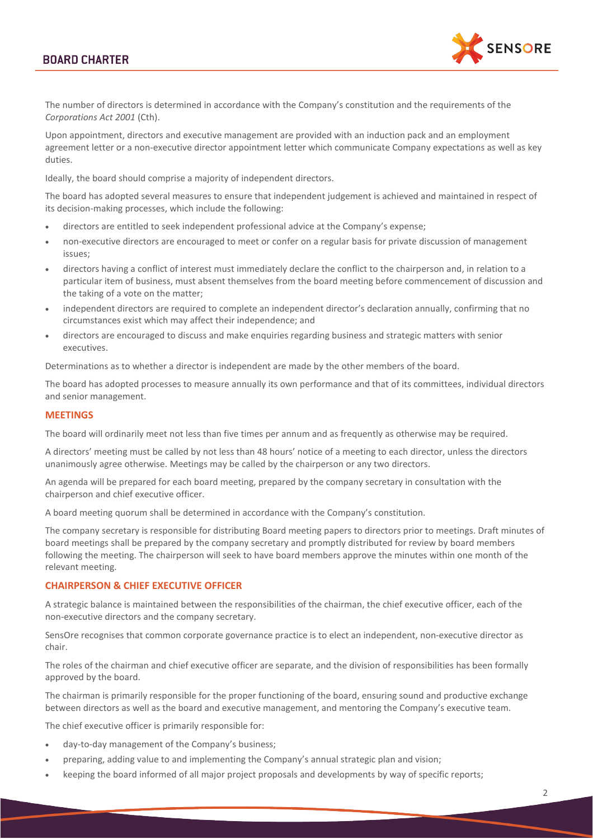# **BOARD CHARTER**



The number of directors is determined in accordance with the Company's constitution and the requirements of the *Corporations Act 2001* (Cth).

Upon appointment, directors and executive management are provided with an induction pack and an employment agreement letter or a non-executive director appointment letter which communicate Company expectations as well as key duties.

Ideally, the board should comprise a majority of independent directors.

The board has adopted several measures to ensure that independent judgement is achieved and maintained in respect of its decision-making processes, which include the following:

- directors are entitled to seek independent professional advice at the Company's expense;
- non-executive directors are encouraged to meet or confer on a regular basis for private discussion of management issues;
- directors having a conflict of interest must immediately declare the conflict to the chairperson and, in relation to a particular item of business, must absent themselves from the board meeting before commencement of discussion and the taking of a vote on the matter;
- independent directors are required to complete an independent director's declaration annually, confirming that no circumstances exist which may affect their independence; and
- directors are encouraged to discuss and make enquiries regarding business and strategic matters with senior executives.

Determinations as to whether a director is independent are made by the other members of the board.

The board has adopted processes to measure annually its own performance and that of its committees, individual directors and senior management.

#### **MEETINGS**

The board will ordinarily meet not less than five times per annum and as frequently as otherwise may be required.

A directors' meeting must be called by not less than 48 hours' notice of a meeting to each director, unless the directors unanimously agree otherwise. Meetings may be called by the chairperson or any two directors.

An agenda will be prepared for each board meeting, prepared by the company secretary in consultation with the chairperson and chief executive officer.

A board meeting quorum shall be determined in accordance with the Company's constitution.

The company secretary is responsible for distributing Board meeting papers to directors prior to meetings. Draft minutes of board meetings shall be prepared by the company secretary and promptly distributed for review by board members following the meeting. The chairperson will seek to have board members approve the minutes within one month of the relevant meeting.

# **CHAIRPERSON & CHIEF EXECUTIVE OFFICER**

A strategic balance is maintained between the responsibilities of the chairman, the chief executive officer, each of the non-executive directors and the company secretary.

SensOre recognises that common corporate governance practice is to elect an independent, non-executive director as chair.

The roles of the chairman and chief executive officer are separate, and the division of responsibilities has been formally approved by the board.

The chairman is primarily responsible for the proper functioning of the board, ensuring sound and productive exchange between directors as well as the board and executive management, and mentoring the Company's executive team.

The chief executive officer is primarily responsible for:

- day-to-day management of the Company's business;
- preparing, adding value to and implementing the Company's annual strategic plan and vision;
- keeping the board informed of all major project proposals and developments by way of specific reports;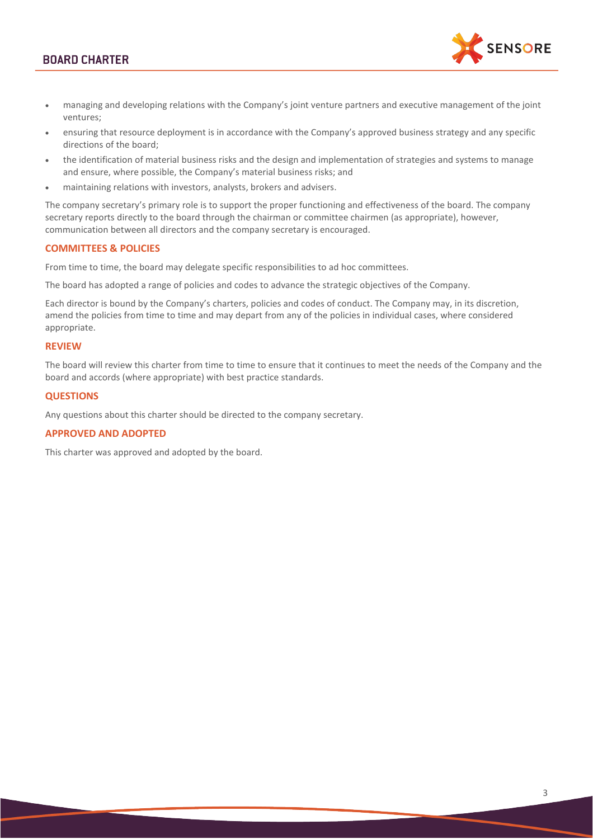# **BOARD CHARTER**



- managing and developing relations with the Company's joint venture partners and executive management of the joint ventures;
- ensuring that resource deployment is in accordance with the Company's approved business strategy and any specific directions of the board;
- the identification of material business risks and the design and implementation of strategies and systems to manage and ensure, where possible, the Company's material business risks; and
- maintaining relations with investors, analysts, brokers and advisers.

The company secretary's primary role is to support the proper functioning and effectiveness of the board. The company secretary reports directly to the board through the chairman or committee chairmen (as appropriate), however, communication between all directors and the company secretary is encouraged.

## **COMMITTEES & POLICIES**

From time to time, the board may delegate specific responsibilities to ad hoc committees.

The board has adopted a range of policies and codes to advance the strategic objectives of the Company.

Each director is bound by the Company's charters, policies and codes of conduct. The Company may, in its discretion, amend the policies from time to time and may depart from any of the policies in individual cases, where considered appropriate.

### **REVIEW**

The board will review this charter from time to time to ensure that it continues to meet the needs of the Company and the board and accords (where appropriate) with best practice standards.

### **QUESTIONS**

Any questions about this charter should be directed to the company secretary.

### **APPROVED AND ADOPTED**

This charter was approved and adopted by the board.